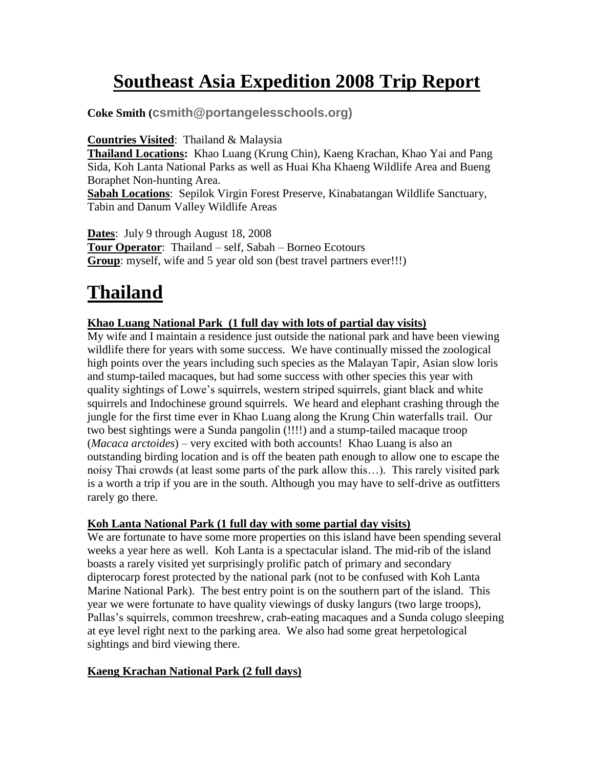# **Southeast Asia Expedition 2008 Trip Report**

**Coke Smith (csmith@portangelesschools.org)**

**Countries Visited**: Thailand & Malaysia

**Thailand Locations:** Khao Luang (Krung Chin), Kaeng Krachan, Khao Yai and Pang Sida, Koh Lanta National Parks as well as Huai Kha Khaeng Wildlife Area and Bueng Boraphet Non-hunting Area.

**Sabah Locations**: Sepilok Virgin Forest Preserve, Kinabatangan Wildlife Sanctuary, Tabin and Danum Valley Wildlife Areas

**Dates**: July 9 through August 18, 2008

**Tour Operator**: Thailand – self, Sabah – Borneo Ecotours **Group**: myself, wife and 5 year old son (best travel partners ever!!!)

# **Thailand**

## **Khao Luang National Park (1 full day with lots of partial day visits)**

My wife and I maintain a residence just outside the national park and have been viewing wildlife there for years with some success. We have continually missed the zoological high points over the years including such species as the Malayan Tapir, Asian slow loris and stump-tailed macaques, but had some success with other species this year with quality sightings of Lowe's squirrels, western striped squirrels, giant black and white squirrels and Indochinese ground squirrels. We heard and elephant crashing through the jungle for the first time ever in Khao Luang along the Krung Chin waterfalls trail. Our two best sightings were a Sunda pangolin (!!!!) and a stump-tailed macaque troop (*Macaca arctoides*) – very excited with both accounts! Khao Luang is also an outstanding birding location and is off the beaten path enough to allow one to escape the noisy Thai crowds (at least some parts of the park allow this…). This rarely visited park is a worth a trip if you are in the south. Although you may have to self-drive as outfitters rarely go there.

### **Koh Lanta National Park (1 full day with some partial day visits)**

We are fortunate to have some more properties on this island have been spending several weeks a year here as well. Koh Lanta is a spectacular island. The mid-rib of the island boasts a rarely visited yet surprisingly prolific patch of primary and secondary dipterocarp forest protected by the national park (not to be confused with Koh Lanta Marine National Park). The best entry point is on the southern part of the island. This year we were fortunate to have quality viewings of dusky langurs (two large troops), Pallas's squirrels, common treeshrew, crab-eating macaques and a Sunda colugo sleeping at eye level right next to the parking area. We also had some great herpetological sightings and bird viewing there.

# **Kaeng Krachan National Park (2 full days)**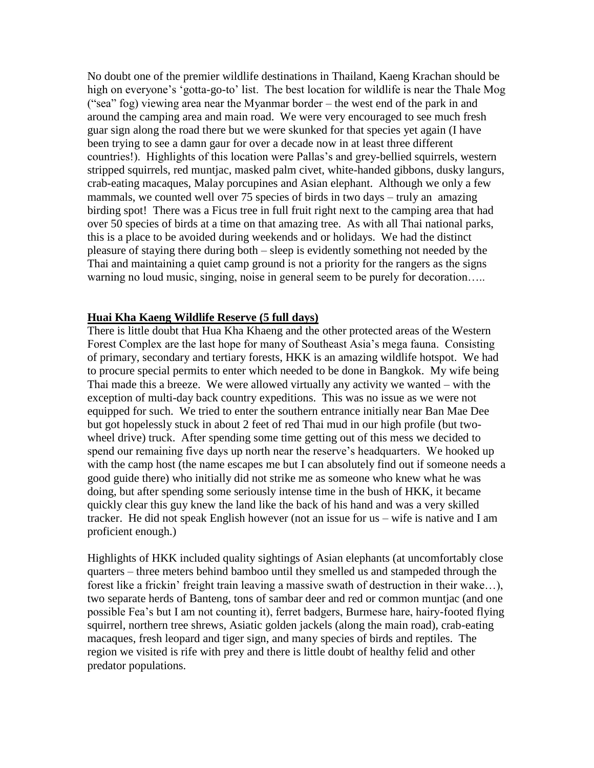No doubt one of the premier wildlife destinations in Thailand, Kaeng Krachan should be high on everyone's 'gotta-go-to' list. The best location for wildlife is near the Thale Mog ("sea" fog) viewing area near the Myanmar border – the west end of the park in and around the camping area and main road. We were very encouraged to see much fresh guar sign along the road there but we were skunked for that species yet again (I have been trying to see a damn gaur for over a decade now in at least three different countries!). Highlights of this location were Pallas's and grey-bellied squirrels, western stripped squirrels, red muntjac, masked palm civet, white-handed gibbons, dusky langurs, crab-eating macaques, Malay porcupines and Asian elephant. Although we only a few mammals, we counted well over 75 species of birds in two days – truly an amazing birding spot! There was a Ficus tree in full fruit right next to the camping area that had over 50 species of birds at a time on that amazing tree. As with all Thai national parks, this is a place to be avoided during weekends and or holidays. We had the distinct pleasure of staying there during both – sleep is evidently something not needed by the Thai and maintaining a quiet camp ground is not a priority for the rangers as the signs warning no loud music, singing, noise in general seem to be purely for decoration…..

#### **Huai Kha Kaeng Wildlife Reserve (5 full days)**

There is little doubt that Hua Kha Khaeng and the other protected areas of the Western Forest Complex are the last hope for many of Southeast Asia's mega fauna. Consisting of primary, secondary and tertiary forests, HKK is an amazing wildlife hotspot. We had to procure special permits to enter which needed to be done in Bangkok. My wife being Thai made this a breeze. We were allowed virtually any activity we wanted – with the exception of multi-day back country expeditions. This was no issue as we were not equipped for such. We tried to enter the southern entrance initially near Ban Mae Dee but got hopelessly stuck in about 2 feet of red Thai mud in our high profile (but twowheel drive) truck. After spending some time getting out of this mess we decided to spend our remaining five days up north near the reserve's headquarters. We hooked up with the camp host (the name escapes me but I can absolutely find out if someone needs a good guide there) who initially did not strike me as someone who knew what he was doing, but after spending some seriously intense time in the bush of HKK, it became quickly clear this guy knew the land like the back of his hand and was a very skilled tracker. He did not speak English however (not an issue for us – wife is native and I am proficient enough.)

Highlights of HKK included quality sightings of Asian elephants (at uncomfortably close quarters – three meters behind bamboo until they smelled us and stampeded through the forest like a frickin' freight train leaving a massive swath of destruction in their wake…), two separate herds of Banteng, tons of sambar deer and red or common muntjac (and one possible Fea's but I am not counting it), ferret badgers, Burmese hare, hairy-footed flying squirrel, northern tree shrews, Asiatic golden jackels (along the main road), crab-eating macaques, fresh leopard and tiger sign, and many species of birds and reptiles. The region we visited is rife with prey and there is little doubt of healthy felid and other predator populations.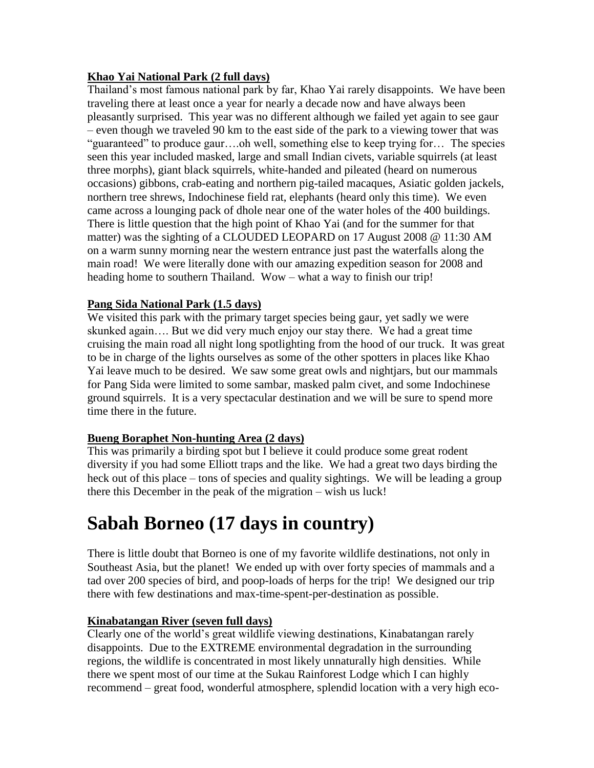### **Khao Yai National Park (2 full days)**

Thailand's most famous national park by far, Khao Yai rarely disappoints. We have been traveling there at least once a year for nearly a decade now and have always been pleasantly surprised. This year was no different although we failed yet again to see gaur – even though we traveled 90 km to the east side of the park to a viewing tower that was "guaranteed" to produce gaur….oh well, something else to keep trying for… The species seen this year included masked, large and small Indian civets, variable squirrels (at least three morphs), giant black squirrels, white-handed and pileated (heard on numerous occasions) gibbons, crab-eating and northern pig-tailed macaques, Asiatic golden jackels, northern tree shrews, Indochinese field rat, elephants (heard only this time). We even came across a lounging pack of dhole near one of the water holes of the 400 buildings. There is little question that the high point of Khao Yai (and for the summer for that matter) was the sighting of a CLOUDED LEOPARD on 17 August 2008 @ 11:30 AM on a warm sunny morning near the western entrance just past the waterfalls along the main road! We were literally done with our amazing expedition season for 2008 and heading home to southern Thailand. Wow – what a way to finish our trip!

## **Pang Sida National Park (1.5 days)**

We visited this park with the primary target species being gaur, yet sadly we were skunked again…. But we did very much enjoy our stay there. We had a great time cruising the main road all night long spotlighting from the hood of our truck. It was great to be in charge of the lights ourselves as some of the other spotters in places like Khao Yai leave much to be desired. We saw some great owls and nightjars, but our mammals for Pang Sida were limited to some sambar, masked palm civet, and some Indochinese ground squirrels. It is a very spectacular destination and we will be sure to spend more time there in the future.

### **Bueng Boraphet Non-hunting Area (2 days)**

This was primarily a birding spot but I believe it could produce some great rodent diversity if you had some Elliott traps and the like. We had a great two days birding the heck out of this place – tons of species and quality sightings. We will be leading a group there this December in the peak of the migration – wish us luck!

# **Sabah Borneo (17 days in country)**

There is little doubt that Borneo is one of my favorite wildlife destinations, not only in Southeast Asia, but the planet! We ended up with over forty species of mammals and a tad over 200 species of bird, and poop-loads of herps for the trip! We designed our trip there with few destinations and max-time-spent-per-destination as possible.

# **Kinabatangan River (seven full days)**

Clearly one of the world's great wildlife viewing destinations, Kinabatangan rarely disappoints. Due to the EXTREME environmental degradation in the surrounding regions, the wildlife is concentrated in most likely unnaturally high densities. While there we spent most of our time at the Sukau Rainforest Lodge which I can highly recommend – great food, wonderful atmosphere, splendid location with a very high eco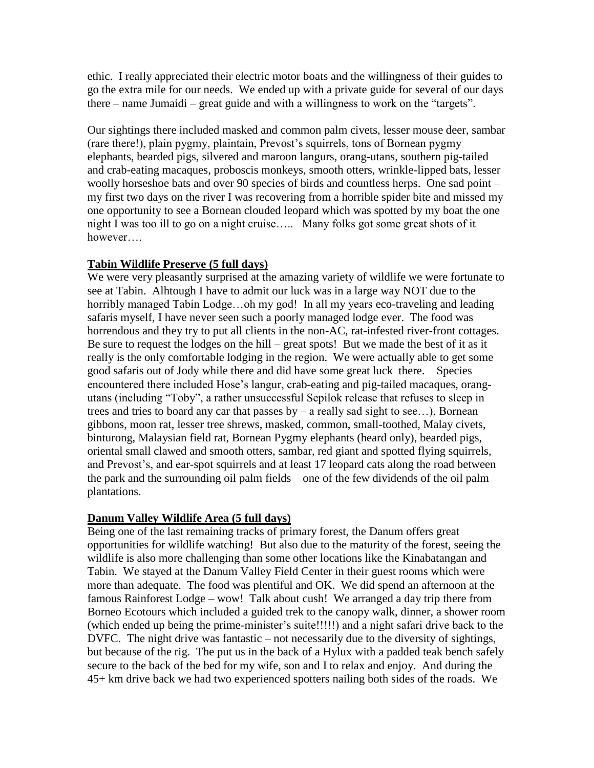ethic. I really appreciated their electric motor boats and the willingness of their guides to go the extra mile for our needs. We ended up with a private guide for several of our days there – name Jumaidi – great guide and with a willingness to work on the "targets".

Our sightings there included masked and common palm civets, lesser mouse deer, sambar (rare there!), plain pygmy, plaintain, Prevost's squirrels, tons of Bornean pygmy elephants, bearded pigs, silvered and maroon langurs, orang-utans, southern pig-tailed and crab-eating macaques, proboscis monkeys, smooth otters, wrinkle-lipped bats, lesser woolly horseshoe bats and over 90 species of birds and countless herps. One sad point – my first two days on the river I was recovering from a horrible spider bite and missed my one opportunity to see a Bornean clouded leopard which was spotted by my boat the one night I was too ill to go on a night cruise….. Many folks got some great shots of it however….

### **Tabin Wildlife Preserve (5 full days)**

We were very pleasantly surprised at the amazing variety of wildlife we were fortunate to see at Tabin. Alhtough I have to admit our luck was in a large way NOT due to the horribly managed Tabin Lodge...oh my god! In all my years eco-traveling and leading safaris myself, I have never seen such a poorly managed lodge ever. The food was horrendous and they try to put all clients in the non-AC, rat-infested river-front cottages. Be sure to request the lodges on the hill – great spots! But we made the best of it as it really is the only comfortable lodging in the region. We were actually able to get some good safaris out of Jody while there and did have some great luck there. Species encountered there included Hose's langur, crab-eating and pig-tailed macaques, orangutans (including "Toby", a rather unsuccessful Sepilok release that refuses to sleep in trees and tries to board any car that passes  $by - a$  really sad sight to see...), Bornean gibbons, moon rat, lesser tree shrews, masked, common, small-toothed, Malay civets, binturong, Malaysian field rat, Bornean Pygmy elephants (heard only), bearded pigs, oriental small clawed and smooth otters, sambar, red giant and spotted flying squirrels, and Prevost's, and ear-spot squirrels and at least 17 leopard cats along the road between the park and the surrounding oil palm fields – one of the few dividends of the oil palm plantations.

### **Danum Valley Wildlife Area (5 full days)**

Being one of the last remaining tracks of primary forest, the Danum offers great opportunities for wildlife watching! But also due to the maturity of the forest, seeing the wildlife is also more challenging than some other locations like the Kinabatangan and Tabin. We stayed at the Danum Valley Field Center in their guest rooms which were more than adequate. The food was plentiful and OK. We did spend an afternoon at the famous Rainforest Lodge – wow! Talk about cush! We arranged a day trip there from Borneo Ecotours which included a guided trek to the canopy walk, dinner, a shower room (which ended up being the prime-minister's suite!!!!!) and a night safari drive back to the DVFC. The night drive was fantastic – not necessarily due to the diversity of sightings, but because of the rig. The put us in the back of a Hylux with a padded teak bench safely secure to the back of the bed for my wife, son and I to relax and enjoy. And during the 45+ km drive back we had two experienced spotters nailing both sides of the roads. We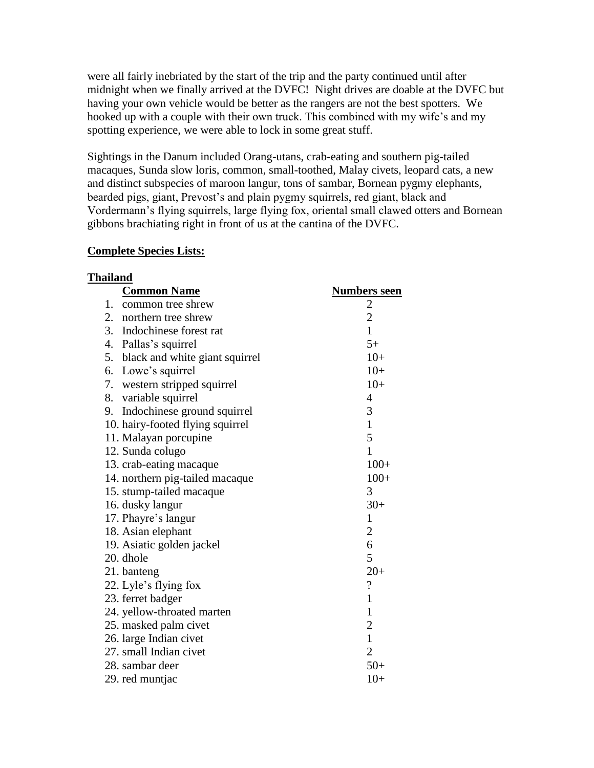were all fairly inebriated by the start of the trip and the party continued until after midnight when we finally arrived at the DVFC! Night drives are doable at the DVFC but having your own vehicle would be better as the rangers are not the best spotters. We hooked up with a couple with their own truck. This combined with my wife's and my spotting experience, we were able to lock in some great stuff.

Sightings in the Danum included Orang-utans, crab-eating and southern pig-tailed macaques, Sunda slow loris, common, small-toothed, Malay civets, leopard cats, a new and distinct subspecies of maroon langur, tons of sambar, Bornean pygmy elephants, bearded pigs, giant, Prevost's and plain pygmy squirrels, red giant, black and Vordermann's flying squirrels, large flying fox, oriental small clawed otters and Bornean gibbons brachiating right in front of us at the cantina of the DVFC.

#### **Complete Species Lists:**

| <b>Thailand</b> |                                   |                            |  |
|-----------------|-----------------------------------|----------------------------|--|
|                 | <b>Common Name</b>                | Numbers seen               |  |
|                 | 1. common tree shrew              |                            |  |
|                 | 2. northern tree shrew            | $\frac{2}{2}$              |  |
|                 | 3. Indochinese forest rat         | $\mathbf{1}$               |  |
|                 | 4. Pallas's squirrel              | $5+$                       |  |
|                 | 5. black and white giant squirrel | $10+$                      |  |
|                 | 6. Lowe's squirrel                | $10+$                      |  |
|                 | 7. western stripped squirrel      | $10+$                      |  |
|                 | 8. variable squirrel              | 4                          |  |
| 9.              | Indochinese ground squirrel       | 3                          |  |
|                 | 10. hairy-footed flying squirrel  | $\mathbf{1}$               |  |
|                 | 11. Malayan porcupine             | 5                          |  |
|                 | 12. Sunda colugo                  | $\mathbf{1}$               |  |
|                 | 13. crab-eating macaque           | $100+$                     |  |
|                 | 14. northern pig-tailed macaque   | $100+$                     |  |
|                 | 15. stump-tailed macaque          | 3                          |  |
|                 | 16. dusky langur                  | $30+$                      |  |
|                 | 17. Phayre's langur               | $\mathbf{1}$               |  |
|                 | 18. Asian elephant                | $\sqrt{2}$                 |  |
|                 | 19. Asiatic golden jackel         | 6                          |  |
|                 | 20. dhole                         | 5                          |  |
|                 | 21. banteng                       | $20+$                      |  |
|                 | 22. Lyle's flying fox             | $\boldsymbol{\mathcal{C}}$ |  |
|                 | 23. ferret badger                 | $\mathbf{1}$               |  |
|                 | 24. yellow-throated marten        | $\mathbf{1}$               |  |
|                 | 25. masked palm civet             | $\overline{c}$             |  |
|                 | 26. large Indian civet            | $\mathbf{1}$               |  |
|                 | 27. small Indian civet            | $\overline{2}$             |  |
|                 | 28. sambar deer                   | $50+$                      |  |
|                 | 29. red muntjac                   | $10+$                      |  |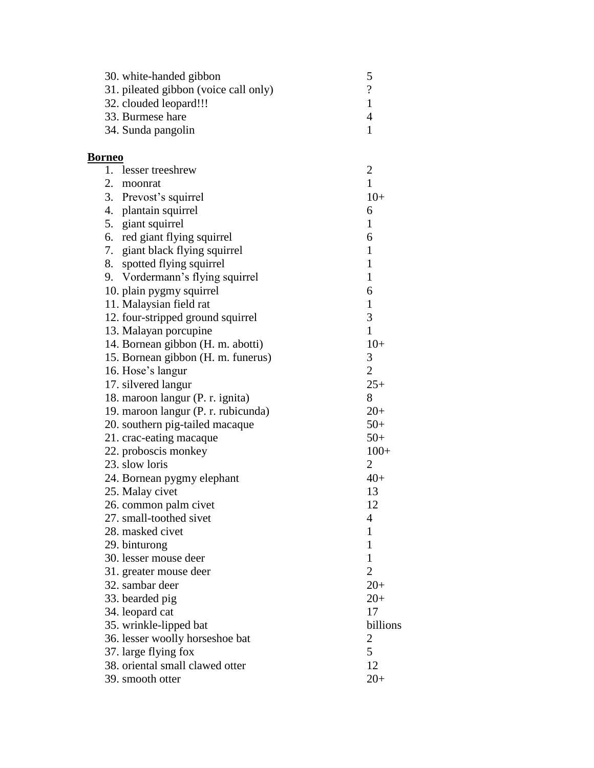| 30. white-handed gibbon               | 5                        |
|---------------------------------------|--------------------------|
| 31. pileated gibbon (voice call only) | $\overline{\mathcal{L}}$ |
| 32. clouded leopard!!!                | $\mathbf{1}$             |
| 33. Burmese hare                      | $\overline{4}$           |
| 34. Sunda pangolin                    | $\mathbf{1}$             |
|                                       |                          |
| <b>Borneo</b>                         |                          |
| 1. lesser treeshrew                   | $\overline{c}$           |
| 2. moonrat                            | $\mathbf{1}$             |
| 3. Prevost's squirrel                 | $10+$                    |
| 4. plantain squirrel                  | 6                        |
| 5. giant squirrel                     | $\mathbf{1}$             |
| 6. red giant flying squirrel          | 6                        |
| 7. giant black flying squirrel        | $\mathbf{1}$             |
| 8. spotted flying squirrel            | $\mathbf{1}$             |
| 9. Vordermann's flying squirrel       | $\mathbf{1}$             |
| 10. plain pygmy squirrel              | 6                        |
| 11. Malaysian field rat               | $\mathbf{1}$             |
| 12. four-stripped ground squirrel     | 3                        |
| 13. Malayan porcupine                 | $\mathbf{1}$             |
| 14. Bornean gibbon (H. m. abotti)     | $10+$                    |
| 15. Bornean gibbon (H. m. funerus)    | 3                        |
| 16. Hose's langur                     | $\overline{2}$           |
| 17. silvered langur                   | $25+$                    |
| 18. maroon langur (P. r. ignita)      | 8                        |
| 19. maroon langur (P. r. rubicunda)   | $20+$                    |
| 20. southern pig-tailed macaque       | $50+$                    |
| 21. crac-eating macaque               | $50+$                    |
| 22. proboscis monkey                  | $100+$                   |
| 23. slow loris                        | $\overline{2}$           |
| 24. Bornean pygmy elephant            | $40+$                    |
| 25. Malay civet                       | 13                       |
| 26. common palm civet                 | 12                       |
| 27. small-toothed sivet               | 4                        |
| 28. masked civet                      | $\mathbf{1}$             |
| 29. binturong                         | 1                        |
| 30. lesser mouse deer                 | $\mathbf{1}$             |
| 31. greater mouse deer                | $\overline{2}$           |
| 32. sambar deer                       | $20+$                    |
| 33. bearded pig                       | $20+$                    |
| 34. leopard cat                       | 17                       |
| 35. wrinkle-lipped bat                | billions                 |
| 36. lesser woolly horseshoe bat       | 2                        |
| 37. large flying fox                  | 5                        |
| 38. oriental small clawed otter       | 12                       |
| 39. smooth otter                      | $20+$                    |
|                                       |                          |